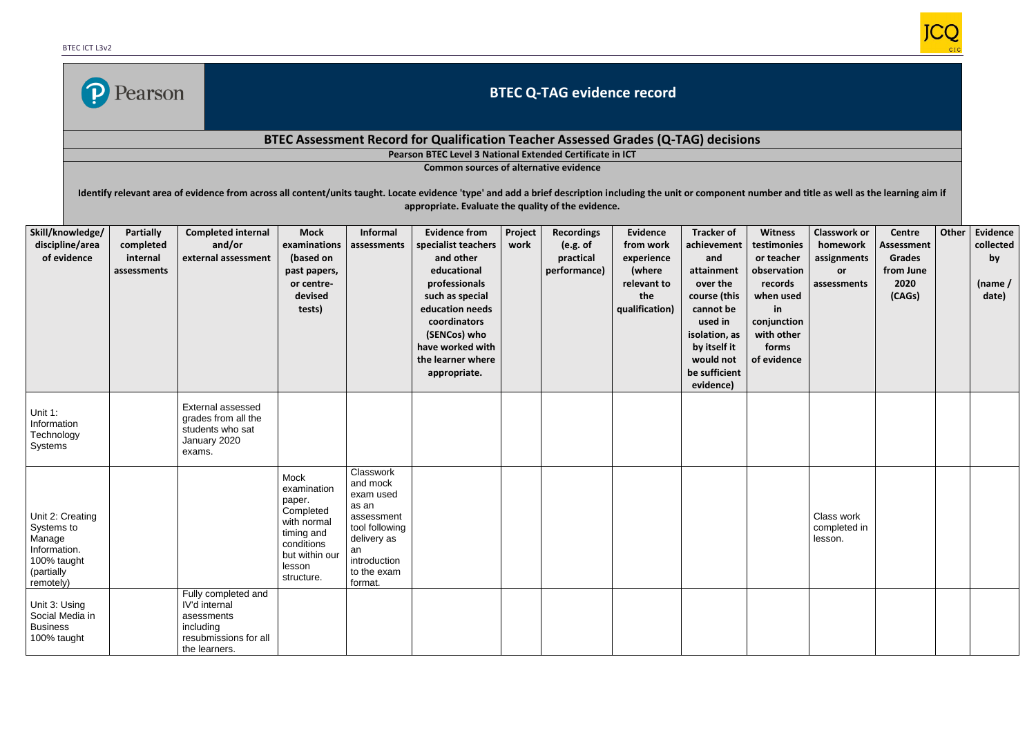

## **BTEC Q-TAG evidence record**

## **BTEC Assessment Record for Qualification Teacher Assessed Grades (Q-TAG) decisions**

**Pearson BTEC Level 3 National Extended Certificate in ICT**

**Common sources of alternative evidence**

Identify relevant area of evidence from across all content/units taught. Locate evidence 'type' and add a brief description including the unit or component number and title as well as the learning aim if **appropriate. Evaluate the quality of the evidence.**

| Skill/knowledge/<br>discipline/area<br>of evidence                                                 | <b>Partially</b><br>completed<br>internal<br>assessments | <b>Completed internal</b><br>and/or<br>external assessment                                                | <b>Mock</b><br>examinations<br>(based on<br>past papers,<br>or centre-<br>devised<br>tests)                                     | <b>Informal</b><br>assessments                                                                                                             | <b>Evidence from</b><br>specialist teachers<br>and other<br>educational<br>professionals<br>such as special<br>education needs<br>coordinators<br>(SENCos) who | Project<br>work | <b>Recordings</b><br>(e.g. of<br>practical<br>performance) | <b>Evidence</b><br>from work<br>experience<br>(where<br>relevant to<br>the<br>qualification) | <b>Tracker of</b><br>achievement<br>and<br>attainment<br>over the<br>course (this<br>cannot be<br>used in<br>isolation, as | <b>Witness</b><br>testimonies<br>or teacher<br>observation<br>records<br>when used<br>in<br>conjunction<br>with other | <b>Classwork or</b><br>homework<br>assignments<br>or<br>assessments | Centre<br><b>Assessment</b><br><b>Grades</b><br>from June<br>2020<br>(CAGs) | Other | <b>Evidence</b><br>collected<br>by<br>(name /<br>date) |
|----------------------------------------------------------------------------------------------------|----------------------------------------------------------|-----------------------------------------------------------------------------------------------------------|---------------------------------------------------------------------------------------------------------------------------------|--------------------------------------------------------------------------------------------------------------------------------------------|----------------------------------------------------------------------------------------------------------------------------------------------------------------|-----------------|------------------------------------------------------------|----------------------------------------------------------------------------------------------|----------------------------------------------------------------------------------------------------------------------------|-----------------------------------------------------------------------------------------------------------------------|---------------------------------------------------------------------|-----------------------------------------------------------------------------|-------|--------------------------------------------------------|
|                                                                                                    |                                                          |                                                                                                           |                                                                                                                                 |                                                                                                                                            | have worked with<br>the learner where<br>appropriate.                                                                                                          |                 |                                                            |                                                                                              | by itself it<br>would not<br>be sufficient<br>evidence)                                                                    | forms<br>of evidence                                                                                                  |                                                                     |                                                                             |       |                                                        |
| Unit 1:<br>Information<br>Technology<br>Systems                                                    |                                                          | <b>External assessed</b><br>grades from all the<br>students who sat<br>January 2020<br>exams.             |                                                                                                                                 |                                                                                                                                            |                                                                                                                                                                |                 |                                                            |                                                                                              |                                                                                                                            |                                                                                                                       |                                                                     |                                                                             |       |                                                        |
| Unit 2: Creating<br>Systems to<br>Manage<br>Information.<br>100% taught<br>(partially<br>remotely) |                                                          |                                                                                                           | Mock<br>examination<br>paper.<br>Completed<br>with normal<br>timing and<br>conditions<br>but within our<br>lesson<br>structure. | Classwork<br>and mock<br>exam used<br>as an<br>assessment<br>tool following<br>delivery as<br>an<br>introduction<br>to the exam<br>format. |                                                                                                                                                                |                 |                                                            |                                                                                              |                                                                                                                            |                                                                                                                       | Class work<br>completed in<br>lesson.                               |                                                                             |       |                                                        |
| Unit 3: Using<br>Social Media in<br><b>Business</b><br>100% taught                                 |                                                          | Fully completed and<br>IV'd internal<br>asessments<br>including<br>resubmissions for all<br>the learners. |                                                                                                                                 |                                                                                                                                            |                                                                                                                                                                |                 |                                                            |                                                                                              |                                                                                                                            |                                                                                                                       |                                                                     |                                                                             |       |                                                        |